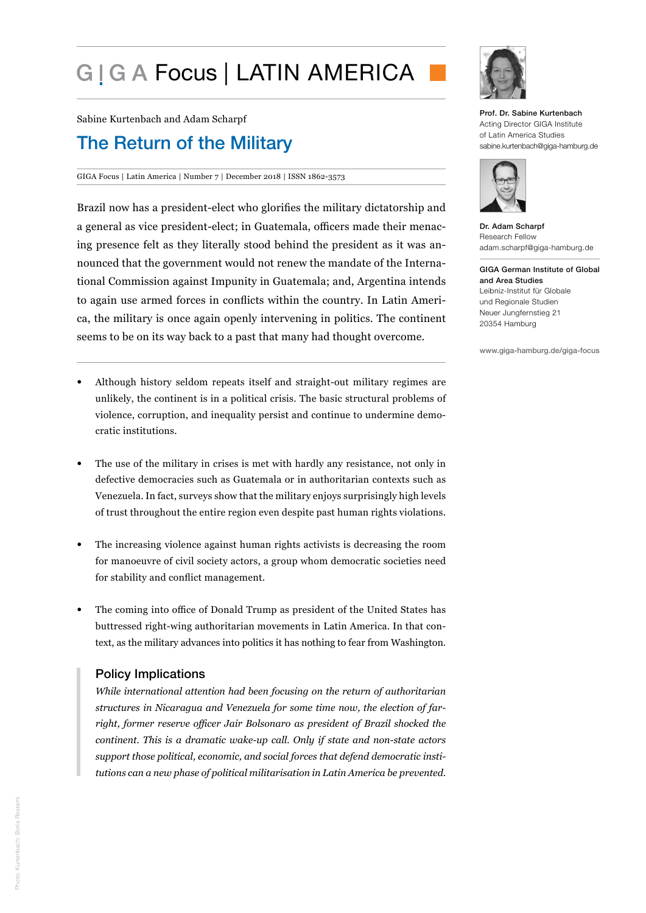# G | G A Focus | LATIN AMERICA

Sabine Kurtenbach and Adam Scharpf

## The Return of the Military

GIGA Focus | Latin America | Number 7 | December 2018 | ISSN 1862-3573

Brazil now has a president-elect who glorifies the military dictatorship and a general as vice president-elect; in Guatemala, officers made their menacing presence felt as they literally stood behind the president as it was announced that the government would not renew the mandate of the International Commission against Impunity in Guatemala; and, Argentina intends to again use armed forces in conflicts within the country. In Latin America, the military is once again openly intervening in politics. The continent seems to be on its way back to a past that many had thought overcome.

- Although history seldom repeats itself and straight-out military regimes are unlikely, the continent is in a political crisis. The basic structural problems of violence, corruption, and inequality persist and continue to undermine democratic institutions.
- The use of the military in crises is met with hardly any resistance, not only in defective democracies such as Guatemala or in authoritarian contexts such as Venezuela. In fact, surveys show that the military enjoys surprisingly high levels of trust throughout the entire region even despite past human rights violations.
- The increasing violence against human rights activists is decreasing the room for manoeuvre of civil society actors, a group whom democratic societies need for stability and conflict management.
- The coming into office of Donald Trump as president of the United States has buttressed right-wing authoritarian movements in Latin America. In that context, as the military advances into politics it has nothing to fear from Washington.

## Policy Implications

*While international attention had been focusing on the return of authoritarian structures in Nicaragua and Venezuela for some time now, the election of farright, former reserve officer Jair Bolsonaro as president of Brazil shocked the continent. This is a dramatic wake-up call. Only if state and non-state actors support those political, economic, and social forces that defend democratic institutions can a new phase of political militarisation in Latin America be prevented.* 



Prof. Dr. Sabine Kurtenbach Acting Director GIGA Institute of Latin America Studies sabine.kurtenbach@giga-hamburg.de



Dr. Adam Scharpf Research Fellow adam.scharpf@giga-hamburg.de

GIGA German Institute of Global and Area Studies Leibniz-Institut für Globale und Regionale Studien Neuer Jungfernstieg 21 20354 Hamburg

www.giga-hamburg.de/giga-focus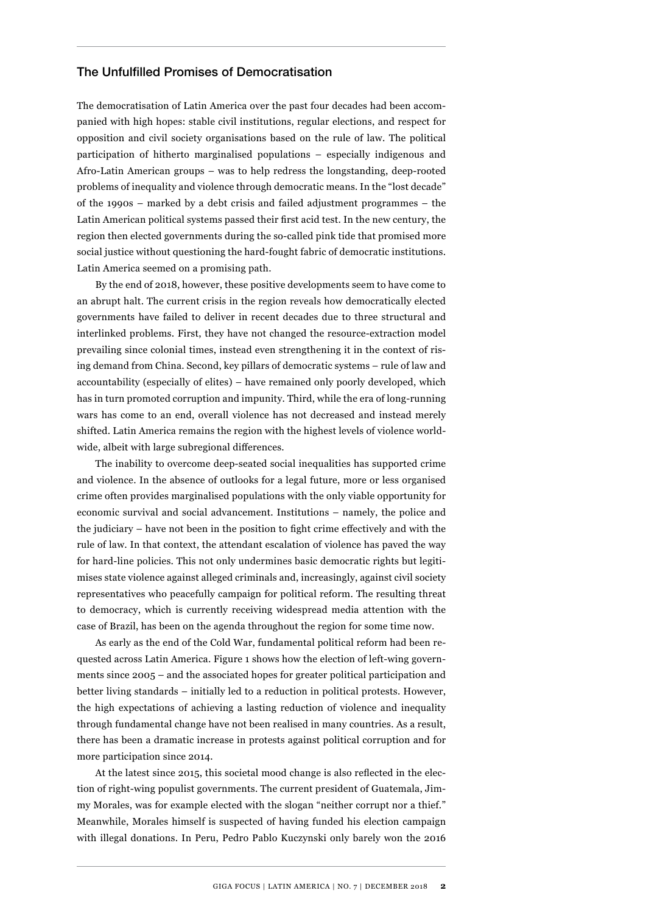## The Unfulfilled Promises of Democratisation

The democratisation of Latin America over the past four decades had been accompanied with high hopes: stable civil institutions, regular elections, and respect for opposition and civil society organisations based on the rule of law. The political participation of hitherto marginalised populations – especially indigenous and Afro-Latin American groups – was to help redress the longstanding, deep-rooted problems of inequality and violence through democratic means. In the "lost decade" of the 1990s – marked by a debt crisis and failed adjustment programmes – the Latin American political systems passed their first acid test. In the new century, the region then elected governments during the so-called pink tide that promised more social justice without questioning the hard-fought fabric of democratic institutions. Latin America seemed on a promising path.

By the end of 2018, however, these positive developments seem to have come to an abrupt halt. The current crisis in the region reveals how democratically elected governments have failed to deliver in recent decades due to three structural and interlinked problems. First, they have not changed the resource-extraction model prevailing since colonial times, instead even strengthening it in the context of rising demand from China. Second, key pillars of democratic systems – rule of law and accountability (especially of elites) – have remained only poorly developed, which has in turn promoted corruption and impunity. Third, while the era of long-running wars has come to an end, overall violence has not decreased and instead merely shifted. Latin America remains the region with the highest levels of violence worldwide, albeit with large subregional differences.

The inability to overcome deep-seated social inequalities has supported crime and violence. In the absence of outlooks for a legal future, more or less organised crime often provides marginalised populations with the only viable opportunity for economic survival and social advancement. Institutions – namely, the police and the judiciary – have not been in the position to fight crime effectively and with the rule of law. In that context, the attendant escalation of violence has paved the way for hard-line policies. This not only undermines basic democratic rights but legitimises state violence against alleged criminals and, increasingly, against civil society representatives who peacefully campaign for political reform. The resulting threat to democracy, which is currently receiving widespread media attention with the case of Brazil, has been on the agenda throughout the region for some time now.

As early as the end of the Cold War, fundamental political reform had been requested across Latin America. Figure 1 shows how the election of left-wing governments since 2005 – and the associated hopes for greater political participation and better living standards – initially led to a reduction in political protests. However, the high expectations of achieving a lasting reduction of violence and inequality through fundamental change have not been realised in many countries. As a result, there has been a dramatic increase in protests against political corruption and for more participation since 2014.

At the latest since 2015, this societal mood change is also reflected in the election of right-wing populist governments. The current president of Guatemala, Jimmy Morales, was for example elected with the slogan "neither corrupt nor a thief." Meanwhile, Morales himself is suspected of having funded his election campaign with illegal donations. In Peru, Pedro Pablo Kuczynski only barely won the 2016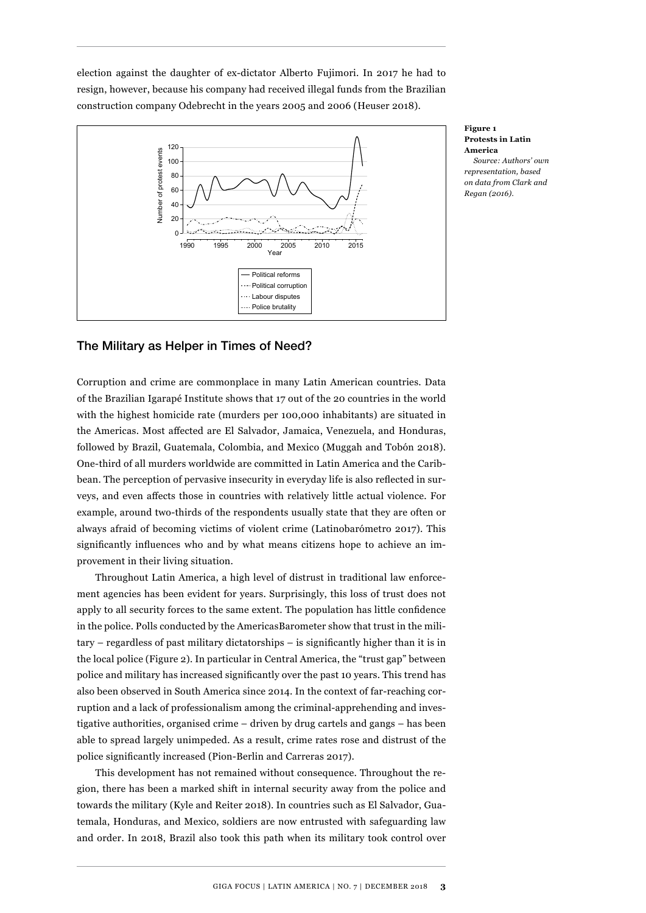election against the daughter of ex-dictator Alberto Fujimori. In 2017 he had to resign, however, because his company had received illegal funds from the Brazilian construction company Odebrecht in the years 2005 and 2006 (Heuser 2018).



**Figure 1 Protests in Latin America** *Source: Authors' own representation, based on data from Clark and Regan (2016).*

## The Military as Helper in Times of Need?

Corruption and crime are commonplace in many Latin American countries. Data of the Brazilian Igarapé Institute shows that 17 out of the 20 countries in the world with the highest homicide rate (murders per 100,000 inhabitants) are situated in the Americas. Most affected are El Salvador, Jamaica, Venezuela, and Honduras, followed by Brazil, Guatemala, Colombia, and Mexico (Muggah and Tobón 2018). One-third of all murders worldwide are committed in Latin America and the Caribbean. The perception of pervasive insecurity in everyday life is also reflected in surveys, and even affects those in countries with relatively little actual violence. For example, around two-thirds of the respondents usually state that they are often or always afraid of becoming victims of violent crime (Latinobarómetro 2017). This significantly influences who and by what means citizens hope to achieve an improvement in their living situation.

Throughout Latin America, a high level of distrust in traditional law enforcement agencies has been evident for years. Surprisingly, this loss of trust does not apply to all security forces to the same extent. The population has little confidence in the police. Polls conducted by the AmericasBarometer show that trust in the military – regardless of past military dictatorships – is significantly higher than it is in the local police (Figure 2). In particular in Central America, the "trust gap" between police and military has increased significantly over the past 10 years. This trend has also been observed in South America since 2014. In the context of far-reaching corruption and a lack of professionalism among the criminal-apprehending and investigative authorities, organised crime – driven by drug cartels and gangs – has been able to spread largely unimpeded. As a result, crime rates rose and distrust of the police significantly increased (Pion-Berlin and Carreras 2017).

This development has not remained without consequence. Throughout the region, there has been a marked shift in internal security away from the police and towards the military (Kyle and Reiter 2018). In countries such as El Salvador, Guatemala, Honduras, and Mexico, soldiers are now entrusted with safeguarding law and order. In 2018, Brazil also took this path when its military took control over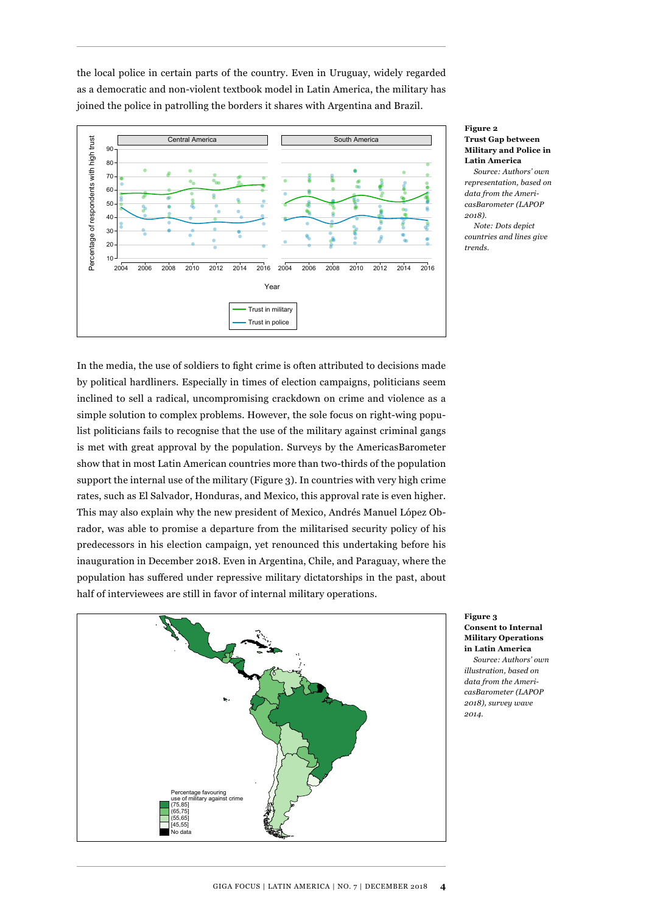the local police in certain parts of the country. Even in Uruguay, widely regarded as a democratic and non-violent textbook model in Latin America, the military has joined the police in patrolling the borders it shares with Argentina and Brazil.



**Figure 2 Trust Gap between Military and Police in Latin America**

*Source: Authors' own representation, based on data from the AmericasBarometer (LAPOP 2018). Note: Dots depict* 

*countries and lines give trends.*

In the media, the use of soldiers to fight crime is often attributed to decisions made by political hardliners. Especially in times of election campaigns, politicians seem inclined to sell a radical, uncompromising crackdown on crime and violence as a simple solution to complex problems. However, the sole focus on right-wing populist politicians fails to recognise that the use of the military against criminal gangs is met with great approval by the population. Surveys by the AmericasBarometer show that in most Latin American countries more than two-thirds of the population support the internal use of the military (Figure 3). In countries with very high crime rates, such as El Salvador, Honduras, and Mexico, this approval rate is even higher. This may also explain why the new president of Mexico, Andrés Manuel López Obrador, was able to promise a departure from the militarised security policy of his predecessors in his election campaign, yet renounced this undertaking before his inauguration in December 2018. Even in Argentina, Chile, and Paraguay, where the population has suffered under repressive military dictatorships in the past, about half of interviewees are still in favor of internal military operations.



**Figure 3 Consent to Internal Military Operations in Latin America**

*Source: Authors' own illustration, based on data from the AmericasBarometer (LAPOP 2018), survey wave 2014.*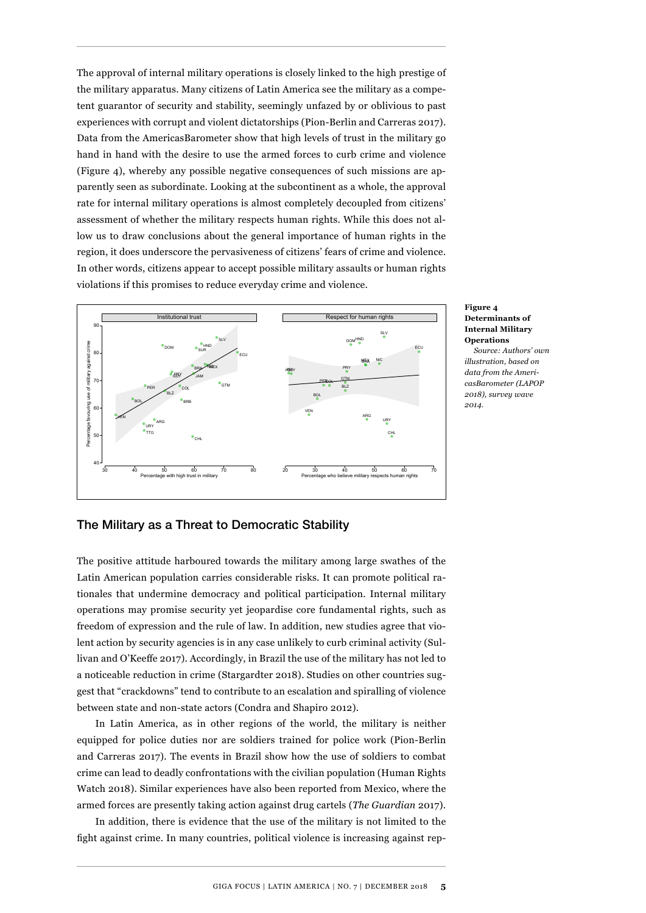The approval of internal military operations is closely linked to the high prestige of the military apparatus. Many citizens of Latin America see the military as a competent guarantor of security and stability, seemingly unfazed by or oblivious to past experiences with corrupt and violent dictatorships (Pion-Berlin and Carreras 2017). Data from the AmericasBarometer show that high levels of trust in the military go hand in hand with the desire to use the armed forces to curb crime and violence (Figure 4), whereby any possible negative consequences of such missions are apparently seen as subordinate. Looking at the subcontinent as a whole, the approval rate for internal military operations is almost completely decoupled from citizens' assessment of whether the military respects human rights. While this does not allow us to draw conclusions about the general importance of human rights in the region, it does underscore the pervasiveness of citizens' fears of crime and violence. In other words, citizens appear to accept possible military assaults or human rights violations if this promises to reduce everyday crime and violence.



#### **Figure 4 Determinants of Internal Military Operations**

*Source: Authors' own illustration, based on data from the AmericasBarometer (LAPOP 2018), survey wave 2014.*

## The Military as a Threat to Democratic Stability

The positive attitude harboured towards the military among large swathes of the Latin American population carries considerable risks. It can promote political rationales that undermine democracy and political participation. Internal military operations may promise security yet jeopardise core fundamental rights, such as freedom of expression and the rule of law. In addition, new studies agree that violent action by security agencies is in any case unlikely to curb criminal activity (Sullivan and O'Keeffe 2017). Accordingly, in Brazil the use of the military has not led to a noticeable reduction in crime (Stargardter 2018). Studies on other countries suggest that "crackdowns" tend to contribute to an escalation and spiralling of violence between state and non-state actors (Condra and Shapiro 2012).

In Latin America, as in other regions of the world, the military is neither equipped for police duties nor are soldiers trained for police work (Pion-Berlin and Carreras 2017). The events in Brazil show how the use of soldiers to combat crime can lead to deadly confrontations with the civilian population (Human Rights Watch 2018). Similar experiences have also been reported from Mexico, where the armed forces are presently taking action against drug cartels (*The Guardian* 2017).

In addition, there is evidence that the use of the military is not limited to the fight against crime. In many countries, political violence is increasing against rep-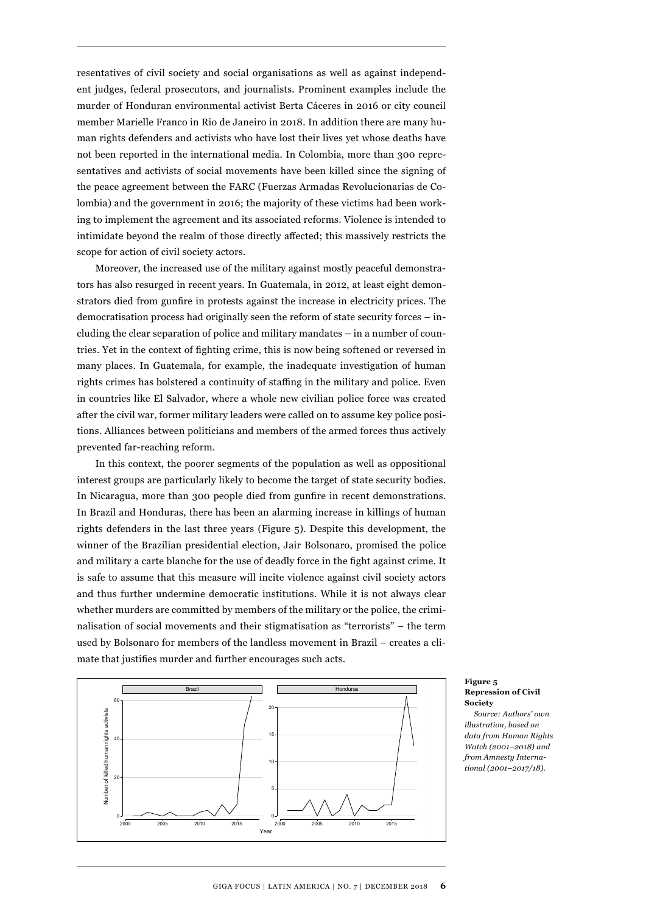resentatives of civil society and social organisations as well as against independent judges, federal prosecutors, and journalists. Prominent examples include the murder of Honduran environmental activist Berta Cáceres in 2016 or city council member Marielle Franco in Rio de Janeiro in 2018. In addition there are many human rights defenders and activists who have lost their lives yet whose deaths have not been reported in the international media. In Colombia, more than 300 representatives and activists of social movements have been killed since the signing of the peace agreement between the FARC (Fuerzas Armadas Revolucionarias de Colombia) and the government in 2016; the majority of these victims had been working to implement the agreement and its associated reforms. Violence is intended to intimidate beyond the realm of those directly affected; this massively restricts the scope for action of civil society actors.

Moreover, the increased use of the military against mostly peaceful demonstrators has also resurged in recent years. In Guatemala, in 2012, at least eight demonstrators died from gunfire in protests against the increase in electricity prices. The democratisation process had originally seen the reform of state security forces – including the clear separation of police and military mandates – in a number of countries. Yet in the context of fighting crime, this is now being softened or reversed in many places. In Guatemala, for example, the inadequate investigation of human rights crimes has bolstered a continuity of staffing in the military and police. Even in countries like El Salvador, where a whole new civilian police force was created after the civil war, former military leaders were called on to assume key police positions. Alliances between politicians and members of the armed forces thus actively prevented far-reaching reform.

In this context, the poorer segments of the population as well as oppositional interest groups are particularly likely to become the target of state security bodies. In Nicaragua, more than 300 people died from gunfire in recent demonstrations. In Brazil and Honduras, there has been an alarming increase in killings of human rights defenders in the last three years (Figure 5). Despite this development, the winner of the Brazilian presidential election, Jair Bolsonaro, promised the police and military a carte blanche for the use of deadly force in the fight against crime. It is safe to assume that this measure will incite violence against civil society actors and thus further undermine democratic institutions. While it is not always clear whether murders are committed by members of the military or the police, the criminalisation of social movements and their stigmatisation as "terrorists" – the term used by Bolsonaro for members of the landless movement in Brazil – creates a climate that justifies murder and further encourages such acts.



#### **Figure 5 Repression of Civil Society**

*Source: Authors' own illustration, based on data from Human Rights Watch (2001–2018) and from Amnesty International (2001–2017/18).*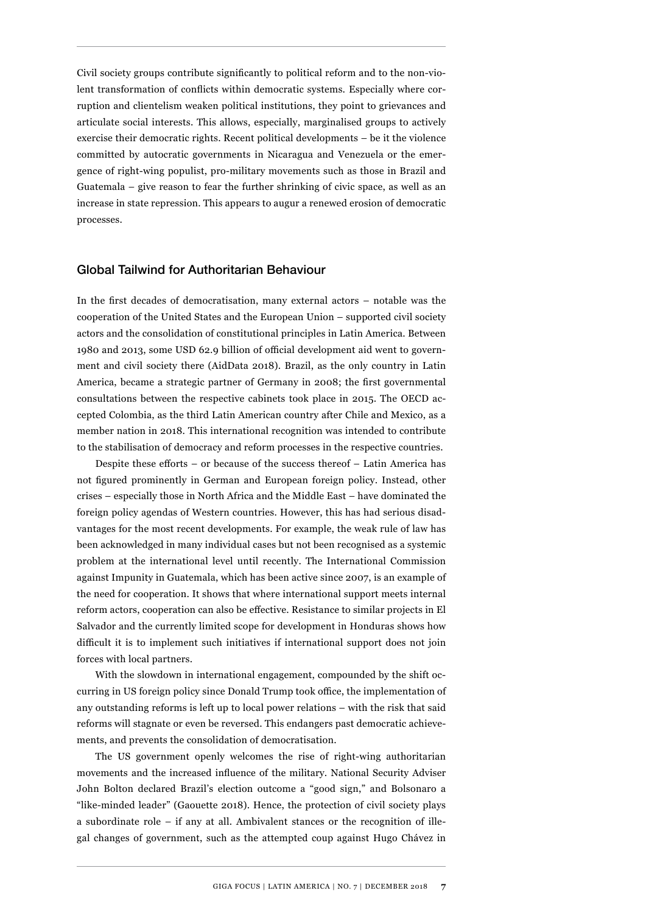Civil society groups contribute significantly to political reform and to the non-violent transformation of conflicts within democratic systems. Especially where corruption and clientelism weaken political institutions, they point to grievances and articulate social interests. This allows, especially, marginalised groups to actively exercise their democratic rights. Recent political developments – be it the violence committed by autocratic governments in Nicaragua and Venezuela or the emergence of right-wing populist, pro-military movements such as those in Brazil and Guatemala – give reason to fear the further shrinking of civic space, as well as an increase in state repression. This appears to augur a renewed erosion of democratic processes.

### Global Tailwind for Authoritarian Behaviour

In the first decades of democratisation, many external actors – notable was the cooperation of the United States and the European Union – supported civil society actors and the consolidation of constitutional principles in Latin America. Between 1980 and 2013, some USD 62.9 billion of official development aid went to government and civil society there (AidData 2018). Brazil, as the only country in Latin America, became a strategic partner of Germany in 2008; the first governmental consultations between the respective cabinets took place in 2015. The OECD accepted Colombia, as the third Latin American country after Chile and Mexico, as a member nation in 2018. This international recognition was intended to contribute to the stabilisation of democracy and reform processes in the respective countries.

Despite these efforts – or because of the success thereof – Latin America has not figured prominently in German and European foreign policy. Instead, other crises – especially those in North Africa and the Middle East – have dominated the foreign policy agendas of Western countries. However, this has had serious disadvantages for the most recent developments. For example, the weak rule of law has been acknowledged in many individual cases but not been recognised as a systemic problem at the international level until recently. The International Commission against Impunity in Guatemala, which has been active since 2007, is an example of the need for cooperation. It shows that where international support meets internal reform actors, cooperation can also be effective. Resistance to similar projects in El Salvador and the currently limited scope for development in Honduras shows how difficult it is to implement such initiatives if international support does not join forces with local partners.

With the slowdown in international engagement, compounded by the shift occurring in US foreign policy since Donald Trump took office, the implementation of any outstanding reforms is left up to local power relations – with the risk that said reforms will stagnate or even be reversed. This endangers past democratic achievements, and prevents the consolidation of democratisation.

The US government openly welcomes the rise of right-wing authoritarian movements and the increased influence of the military. National Security Adviser John Bolton declared Brazil's election outcome a "good sign," and Bolsonaro a "like-minded leader" (Gaouette 2018). Hence, the protection of civil society plays a subordinate role – if any at all. Ambivalent stances or the recognition of illegal changes of government, such as the attempted coup against Hugo Chávez in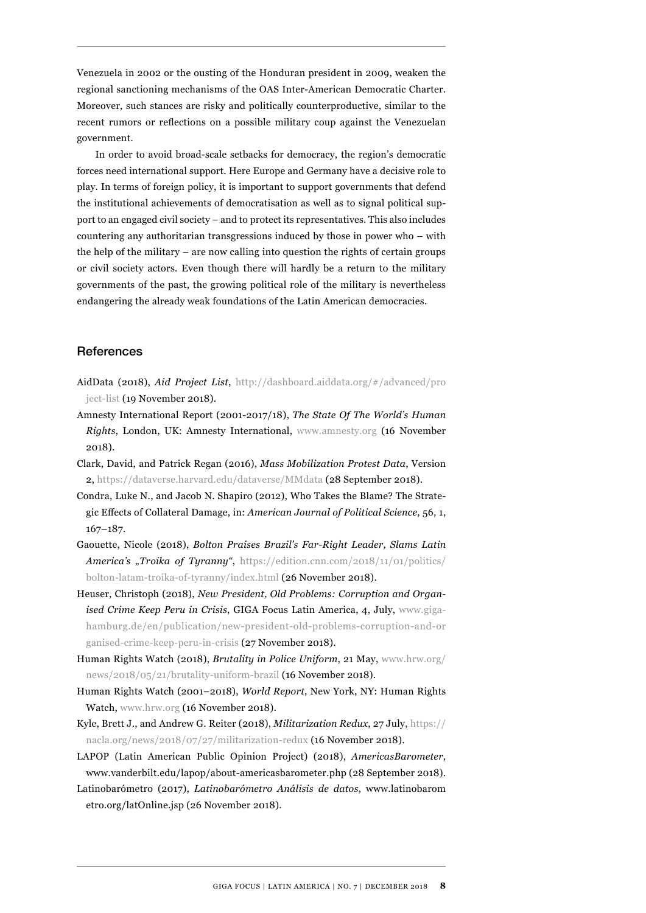Venezuela in 2002 or the ousting of the Honduran president in 2009, weaken the regional sanctioning mechanisms of the OAS Inter-American Democratic Charter. Moreover, such stances are risky and politically counterproductive, similar to the recent rumors or reflections on a possible military coup against the Venezuelan government.

In order to avoid broad-scale setbacks for democracy, the region's democratic forces need international support. Here Europe and Germany have a decisive role to play. In terms of foreign policy, it is important to support governments that defend the institutional achievements of democratisation as well as to signal political support to an engaged civil society – and to protect its representatives. This also includes countering any authoritarian transgressions induced by those in power who – with the help of the military – are now calling into question the rights of certain groups or civil society actors. Even though there will hardly be a return to the military governments of the past, the growing political role of the military is nevertheless endangering the already weak foundations of the Latin American democracies.

## References

- AidData (2018), *Aid Project List*, [http://dashboard.aiddata.org/#/advanced/pro](http://dashboard.aiddata.org/#/advanced/project-list) [ject-list](http://dashboard.aiddata.org/#/advanced/project-list) (19 November 2018).
- Amnesty International Report (2001-2017/18), *The State Of The World's Human Rights*, London, UK: Amnesty International, [www.amnesty.org](http://www.amnesty.org) (16 November 2018).
- Clark, David, and Patrick Regan (2016), *Mass Mobilization Protest Data*, Version 2, <https://dataverse.harvard.edu/dataverse/MMdata>(28 September 2018).
- Condra, Luke N., and Jacob N. Shapiro (2012), Who Takes the Blame? The Strategic Effects of Collateral Damage, in: *American Journal of Political Science*, 56, 1, 167–187.
- Gaouette, Nicole (2018), *Bolton Praises Brazil's Far-Right Leader, Slams Latin America's "Troika of Tyranny"*, [https://edition.cnn.com/2018/11/01/politics/](https://edition.cnn.com/2018/11/01/politics/bolton-latam-troika-of-tyranny/index.html) [bolton-latam-troika-of-tyranny/index.html](https://edition.cnn.com/2018/11/01/politics/bolton-latam-troika-of-tyranny/index.html) (26 November 2018).
- Heuser, Christoph (2018), *New President, Old Problems: Corruption and Organised Crime Keep Peru in Crisis*, GIGA Focus Latin America, 4, July, [www.giga](http://www.giga-hamburg.de/en/publication/new-president-old-problems-corruption-and-organised-crime-keep-peru-in-crisis)[hamburg.de/en/publication/new-president-old-problems-corruption-and-or](http://www.giga-hamburg.de/en/publication/new-president-old-problems-corruption-and-organised-crime-keep-peru-in-crisis)  [ganised-crime-keep-peru-in-crisis](http://www.giga-hamburg.de/en/publication/new-president-old-problems-corruption-and-organised-crime-keep-peru-in-crisis) (27 November 2018).
- Human Rights Watch (2018), *Brutality in Police Uniform*, 21 May, [www.hrw.org/](http://www.hrw.org/news/2018/05/21/brutality-uniform-brazil) [news/2018/05/21/brutality-uniform-brazil](http://www.hrw.org/news/2018/05/21/brutality-uniform-brazil) (16 November 2018).
- Human Rights Watch (2001–2018), *World Report*, New York, NY: Human Rights Watch, [www.hrw.org](http://www.hrw.org) (16 November 2018).
- [Kyle, Brett J., and Andrew G. Reiter](https://nacla.org/author/Brett%20J.%20Kyle%20and%20Andrew%20G.%20Reiter) (2018), *Militarization Redux*, 27 July, [https://](https://nacla.org/news/2018/07/27/militarization-redux) [nacla.org/news/2018/07/27/militarization-redux](https://nacla.org/news/2018/07/27/militarization-redux) (16 November 2018).
- LAPOP (Latin American Public Opinion Project) (2018), *AmericasBarometer*, www.vanderbilt.edu/lapop/about-americasbarometer.php (28 September 2018).
- Latinobarómetro (2017), *Latinobarómetro Análisis de datos*, [www.latinobarom](http://www.latinobarometro.org/latOnline.jsp)  [etro.org/latOnline.jsp](http://www.latinobarometro.org/latOnline.jsp) (26 November 2018).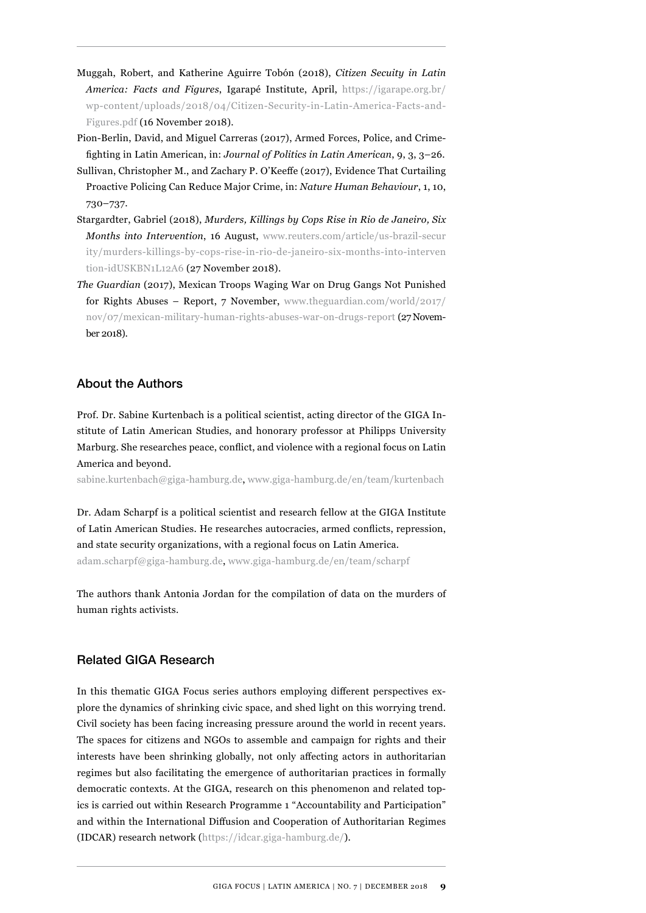- Muggah, Robert, and Katherine Aguirre Tobón (2018), *Citizen Secuity in Latin America: Facts and Figures*, Igarapé Institute, April, [https://igarape.org.br/](https://igarape.org.br/wp-content/uploads/2018/04/Citizen-Security-in-Latin-America-Facts-and-Figures.pdf) [wp-content/uploads/2018/04/Citizen-Security-in-Latin-America-Facts-and-](https://igarape.org.br/wp-content/uploads/2018/04/Citizen-Security-in-Latin-America-Facts-and-Figures.pdf)[Figures.pdf](https://igarape.org.br/wp-content/uploads/2018/04/Citizen-Security-in-Latin-America-Facts-and-Figures.pdf) (16 November 2018).
- Pion-Berlin, David, and Miguel Carreras (2017), Armed Forces, Police, and Crimefighting in Latin American, in: *Journal of Politics in Latin American*, 9, 3, 3–26.
- Sullivan, Christopher M., and Zachary P. O'Keeffe (2017), Evidence That Curtailing Proactive Policing Can Reduce Major Crime, in: *Nature Human Behaviour*, 1, 10, 730–737.
- Stargardter, Gabriel (2018), *Murders, Killings by Cops Rise in Rio de Janeiro, Six Months into Intervention*, 16 August, [www.reuters.com/article/us-brazil-secur](http://www.reuters.com/article/us-brazil-security/murders-killings-by-cops-rise-in-rio-de-janeiro-six-months-into-intervention-idUSKBN1L12A6)  [ity/murders-killings-by-cops-rise-in-rio-de-janeiro-six-months-into-interven](http://www.reuters.com/article/us-brazil-security/murders-killings-by-cops-rise-in-rio-de-janeiro-six-months-into-intervention-idUSKBN1L12A6) [tion-idUSKBN1L12A6](http://www.reuters.com/article/us-brazil-security/murders-killings-by-cops-rise-in-rio-de-janeiro-six-months-into-intervention-idUSKBN1L12A6) (27 November 2018).
- *The Guardian* (2017), Mexican Troops Waging War on Drug Gangs Not Punished for Rights Abuses – Report, 7 November, [www.theguardian.com/world/2017/](http://www.theguardian.com/world/2017/nov/07/mexican-military-human-rights-abuses-war-on-drugs-report) [nov/07/mexican-military-human-rights-abuses-war-on-drugs-report](http://www.theguardian.com/world/2017/nov/07/mexican-military-human-rights-abuses-war-on-drugs-report) (27 November 2018).

## About the Authors

Prof. Dr. Sabine Kurtenbach is a political scientist, acting director of the GIGA Institute of Latin American Studies, and honorary professor at Philipps University Marburg. She researches peace, conflict, and violence with a regional focus on Latin America and beyond.

sabine.kurtenbach@giga-hamburg.de, [www.giga-hamburg.de/en/team/kurtenbach](http://www.giga-hamburg.de/en/team/kurtenbach)

Dr. Adam Scharpf is a political scientist and research fellow at the GIGA Institute of Latin American Studies. He researches autocracies, armed conflicts, repression, and state security organizations, with a regional focus on Latin America. adam.scharpf@giga-hamburg.de, [www.giga-hamburg.de/en/team/scharpf](http://www.giga-hamburg.de/en/team/scharpf)

The authors thank Antonia Jordan for the compilation of data on the murders of human rights activists.

## Related GIGA Research

In this thematic GIGA Focus series authors employing different perspectives explore the dynamics of shrinking civic space, and shed light on this worrying trend. Civil society has been facing increasing pressure around the world in recent years. The spaces for citizens and NGOs to assemble and campaign for rights and their interests have been shrinking globally, not only affecting actors in authoritarian regimes but also facilitating the emergence of authoritarian practices in formally democratic contexts. At the GIGA, research on this phenomenon and related topics is carried out within Research Programme 1 "Accountability and Participation" and within the International Diffusion and Cooperation of Authoritarian Regimes (IDCAR) research network [\(https://idcar.giga-hamburg.de/](https://idcar.giga-hamburg.de/)).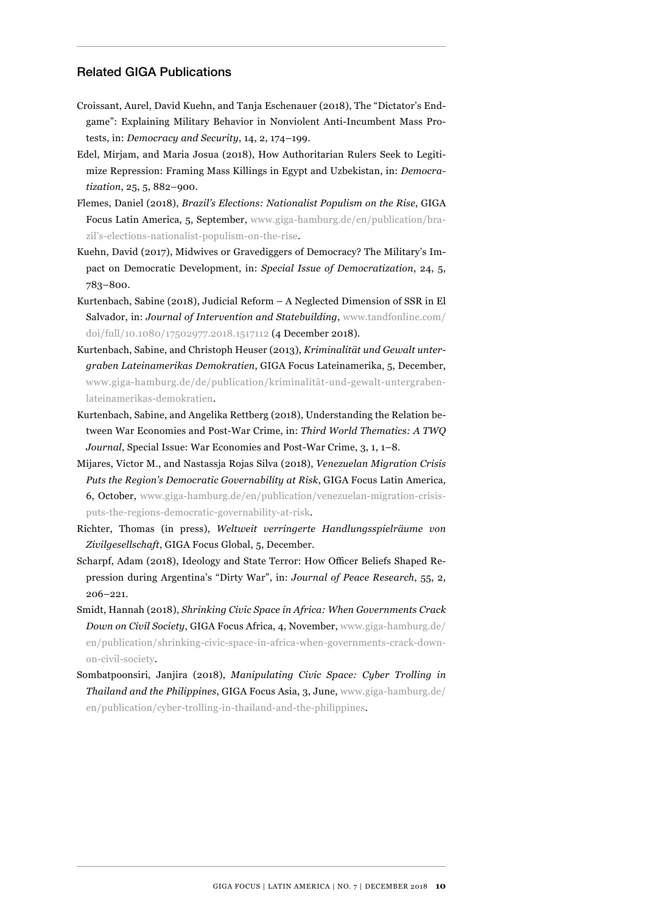## Related GIGA Publications

- Croissant, Aurel, David Kuehn, and Tanja Eschenauer (2018), The "Dictator's Endgame": Explaining Military Behavior in Nonviolent Anti-Incumbent Mass Protests, in: *Democracy and Security*, 14, 2, 174–199.
- Edel, Mirjam, and Maria Josua (2018), How Authoritarian Rulers Seek to Legitimize Repression: Framing Mass Killings in Egypt and Uzbekistan, in: *Democratization*, 25, 5, 882–900.
- Flemes, Daniel (2018), *Brazil's Elections: Nationalist Populism on the Rise*, GIGA Focus Latin America, 5, September, [www.giga-hamburg.de/en/publication/bra](http://www.giga-hamburg.de/en/publication/brazil�s-elections-nationalist-populism-on-the-rise)[zil's-elections-nationalist-populism-on-the-rise](http://www.giga-hamburg.de/en/publication/brazil�s-elections-nationalist-populism-on-the-rise).
- Kuehn, David (2017), Midwives or Gravediggers of Democracy? The Military's Impact on Democratic Development, in: *Special Issue of Democratization*, 24, 5, 783–800.
- Kurtenbach, Sabine (2018), Judicial Reform A Neglected Dimension of SSR in El Salvador, in: *Journal of Intervention and Statebuilding*, [www.tandfonline.com/](http://www.tandfonline.com/doi/full/10.1080/17502977.2018.1517112) [doi/full/10.1080/17502977.2018.1517112](http://www.tandfonline.com/doi/full/10.1080/17502977.2018.1517112) (4 December 2018).
- Kurtenbach, Sabine, and Christoph Heuser (2013), *Kriminalität und Gewalt untergraben Lateinamerikas Demokratien*, GIGA Focus Lateinamerika, 5, December, [www.giga-hamburg.de/de/publication/kriminalität-und-gewalt-untergraben](http://www.giga-hamburg.de/de/publication/kriminalit�t-und-gewalt-untergraben-lateinamerikas-demokratien)[lateinamerikas-demokratien](http://www.giga-hamburg.de/de/publication/kriminalit�t-und-gewalt-untergraben-lateinamerikas-demokratien).
- Kurtenbach, Sabine, and Angelika Rettberg (2018), Understanding the Relation between War Economies and Post-War Crime, in: *Third World Thematics: A TWQ Journal*, Special Issue: War Economies and Post-War Crime, 3, 1, 1–8.
- Mijares, Victor M., and Nastassja Rojas Silva (2018), *Venezuelan Migration Crisis Puts the Region's Democratic Governability at Risk*, GIGA Focus Latin America, 6, October, [www.giga-hamburg.de/en/publication/venezuelan-migration-crisis](http://www.giga-hamburg.de/en/publication/venezuelan-migration-crisis-puts-the-regions-democratic-governability-at-risk)[puts-the-regions-democratic-governability-at-risk.](http://www.giga-hamburg.de/en/publication/venezuelan-migration-crisis-puts-the-regions-democratic-governability-at-risk)
- Richter, Thomas (in press), *Weltweit verringerte Handlungsspielräume von Zivilgesellschaft*, GIGA Focus Global, 5, December.
- Scharpf, Adam (2018), Ideology and State Terror: How Officer Beliefs Shaped Repression during Argentina's "Dirty War", in: *Journal of Peace Research*, 55, 2, 206–221.
- Smidt, Hannah (2018), *Shrinking Civic Space in Africa: When Governments Crack Down on Civil Society*, GIGA Focus Africa, 4, November, [www.giga-hamburg.de/](http://www.giga-hamburg.de/en/publication/shrinking-civic-space-in-africa-when-governments-crack-down-on-civil-society) [en/publication/shrinking-civic-space-in-africa-when-governments-crack-down](http://www.giga-hamburg.de/en/publication/shrinking-civic-space-in-africa-when-governments-crack-down-on-civil-society)[on-civil-society](http://www.giga-hamburg.de/en/publication/shrinking-civic-space-in-africa-when-governments-crack-down-on-civil-society).
- Sombatpoonsiri, Janjira (2018), *Manipulating Civic Space: Cyber Trolling in Thailand and the Philippines*, GIGA Focus Asia, 3, June, [www.giga-hamburg.de/](http://www.giga-hamburg.de/en/publication/cyber-trolling-in-thailand-and-the-philippines) [en/publication/cyber-trolling-in-thailand-and-the-philippines.](http://www.giga-hamburg.de/en/publication/cyber-trolling-in-thailand-and-the-philippines)